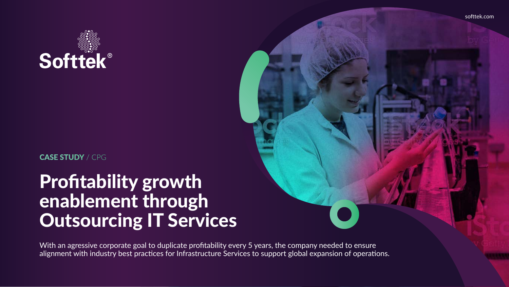## Profitability growth enablement through Outsourcing IT Services

With an agressive corporate goal to duplicate profitability every 5 years, the company needed to ensure alignment with industry best practices for Infrastructure Services to support global expansion of operations.



#### CASE STUDY / CPG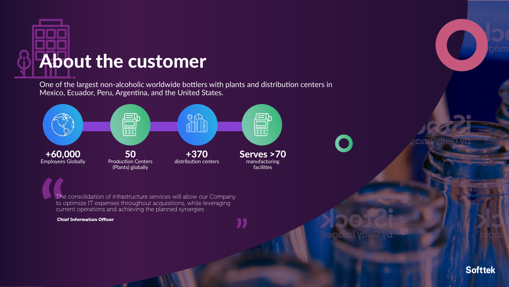

One of the largest non-alcoholic worldwide bottlers with plants and distribution centers in Mexico, Ecuador, Peru, Argentina, and the United States.



The consolidation of infrastructure services will allow our Company to optimize IT expenses throughout acquisitions, while leveraging current operations and achieving the planned synergies

**"**

Chief Information Officer



**Softtek**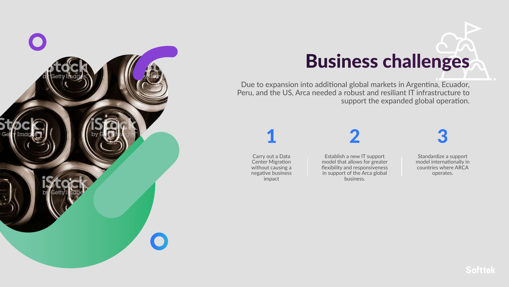Due to expansion into additional global markets in Argentina, Ecuador, Peru, and the US, Arca needed a robust and resiliant IT infrastructure to support the expanded global operation.



# Business challenges

Carry out a Data Center Migration without causing a negative business impact

### 1

Establish a new IT support model that allows for greater flexibility and responsiveness in support of the Arca global business.



Standardize a support model internationally in countries where ARCA operates.



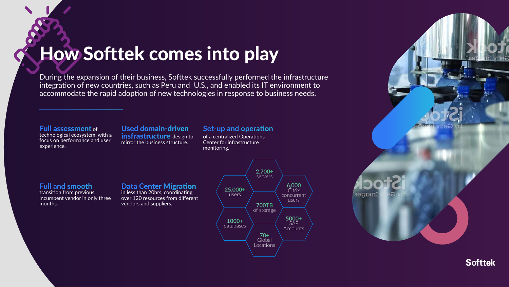#### **Set-up and operation**

of a centralized Operations Center for infrastructure monitoring.

#### Full assessment of

technological ecosystem, with a focus on performance and user experience.

#### Used domain-driven **insfrastructure** design to mirror the business structure.

#### Data Center Migration

During the expansion of their business, Softtek successfully performed the infrastructure integration of new countries, such as Peru and U.S., and enabled its IT environment to accommodate the rapid adoption of new technologies in response to business needs.

> in less than 20hrs, coordinating over 120 resources from different vendors and suppliers.

How Softtek comes into play







### **Full and smooth**

transition from previous incumbent vendor in only three months.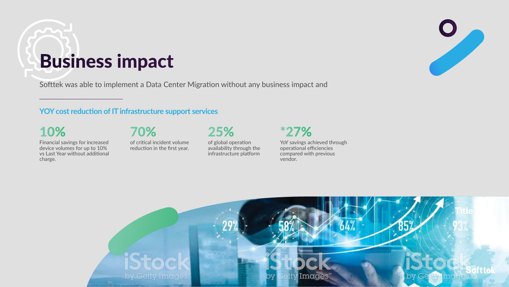10% Financial savings for increased device volumes for up to 10% vs Last Year without additional charge.

70% of critical incident volume reduction in the first year. 25% of global operation availability through the infrastructure platform

\*27%

YoY savings achieved through operational efficiencies compared with previous vendor.

## Business impact





Softtek was able to implement a Data Center Migration without any business impact and

#### **YOY cost reduction of IT infrastructure support services**